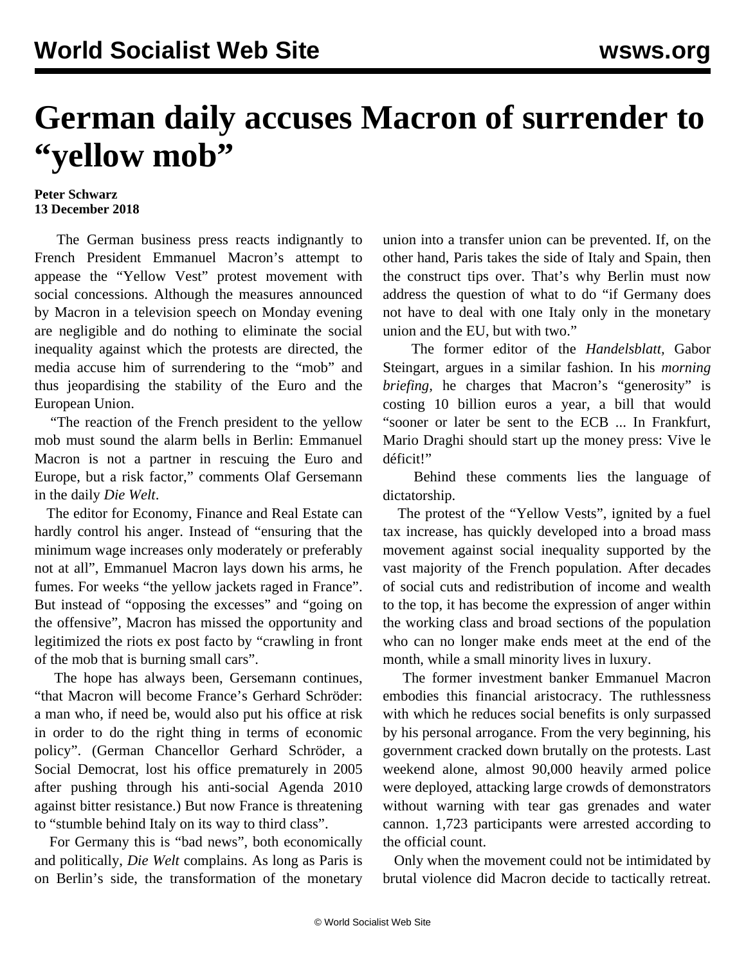## **German daily accuses Macron of surrender to "yellow mob"**

## **Peter Schwarz 13 December 2018**

 The German business press reacts indignantly to French President Emmanuel Macron's attempt to appease the "Yellow Vest" protest movement with social concessions. Although the measures announced by Macron in a television speech on Monday evening are negligible and do nothing to eliminate the social inequality against which the protests are directed, the media accuse him of surrendering to the "mob" and thus jeopardising the stability of the Euro and the European Union.

 "The reaction of the French president to the yellow mob must sound the alarm bells in Berlin: Emmanuel Macron is not a partner in rescuing the Euro and Europe, but a risk factor," comments Olaf Gersemann in the daily *Die Welt*.

 The editor for Economy, Finance and Real Estate can hardly control his anger. Instead of "ensuring that the minimum wage increases only moderately or preferably not at all", Emmanuel Macron lays down his arms, he fumes. For weeks "the yellow jackets raged in France". But instead of "opposing the excesses" and "going on the offensive", Macron has missed the opportunity and legitimized the riots ex post facto by "crawling in front of the mob that is burning small cars".

 The hope has always been, Gersemann continues, "that Macron will become France's Gerhard Schröder: a man who, if need be, would also put his office at risk in order to do the right thing in terms of economic policy". (German Chancellor Gerhard Schröder, a Social Democrat, lost his office prematurely in 2005 after pushing through his anti-social Agenda 2010 against bitter resistance.) But now France is threatening to "stumble behind Italy on its way to third class".

 For Germany this is "bad news", both economically and politically, *Die Welt* complains. As long as Paris is on Berlin's side, the transformation of the monetary union into a transfer union can be prevented. If, on the other hand, Paris takes the side of Italy and Spain, then the construct tips over. That's why Berlin must now address the question of what to do "if Germany does not have to deal with one Italy only in the monetary union and the EU, but with two."

 The former editor of the *Handelsblatt,* Gabor Steingart, argues in a similar fashion. In his *morning briefing,* he charges that Macron's "generosity" is costing 10 billion euros a year, a bill that would "sooner or later be sent to the ECB ... In Frankfurt, Mario Draghi should start up the money press: Vive le déficit!"

 Behind these comments lies the language of dictatorship.

 The protest of the "Yellow Vests", ignited by a fuel tax increase, has quickly developed into a broad mass movement against social inequality supported by the vast majority of the French population. After decades of social cuts and redistribution of income and wealth to the top, it has become the expression of anger within the working class and broad sections of the population who can no longer make ends meet at the end of the month, while a small minority lives in luxury.

 The former investment banker Emmanuel Macron embodies this financial aristocracy. The ruthlessness with which he reduces social benefits is only surpassed by his personal arrogance. From the very beginning, his government cracked down brutally on the protests. Last weekend alone, almost 90,000 heavily armed police were deployed, attacking large crowds of demonstrators without warning with tear gas grenades and water cannon. 1,723 participants were arrested according to the official count.

 Only when the movement could not be intimidated by brutal violence did Macron decide to tactically retreat.